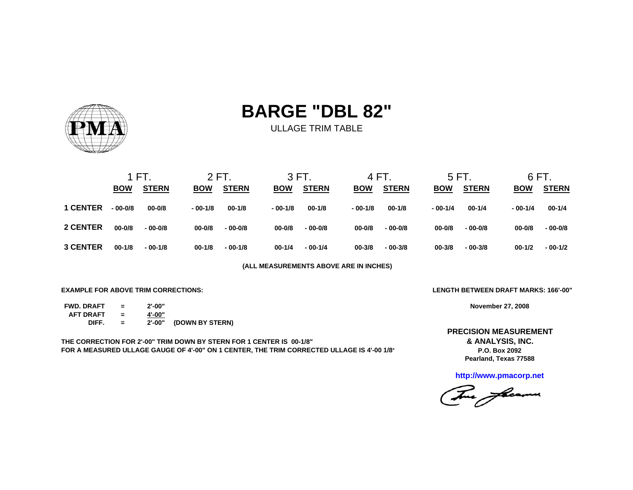

ULLAGE TRIM TABLE

|                 | 1 FT.      |              | 2 FT.      |              |            | 3 FT.        |            | 4 FT.        |            | 5 FT.        | 6 FT.      |              |  |
|-----------------|------------|--------------|------------|--------------|------------|--------------|------------|--------------|------------|--------------|------------|--------------|--|
|                 | <b>BOW</b> | <b>STERN</b> | <b>BOW</b> | <b>STERN</b> | <b>BOW</b> | <b>STERN</b> | <b>BOW</b> | <b>STERN</b> | <b>BOW</b> | <b>STERN</b> | <b>BOW</b> | <b>STERN</b> |  |
| <b>1 CENTER</b> | $-00-0/8$  | $00 - 0/8$   | $-00-1/8$  | $00 - 1/8$   | $-00-1/8$  | $00-1/8$     | $-00-1/8$  | $00-1/8$     | $-00-1/4$  | $00 - 1/4$   | $-00-1/4$  | $00 - 1/4$   |  |
| 2 CENTER        | $00 - 0/8$ | $-00 - 0/8$  | $00 - 0/8$ | $-00-0/8$    | $00 - 0/8$ | $-00-0/8$    | $00 - 0/8$ | $-00-0/8$    | $00 - 0/8$ | $-00-0/8$    | $00 - 0/8$ | $-00-0/8$    |  |
| <b>3 CENTER</b> | $00 - 1/8$ | $-00-1/8$    | $00 - 1/8$ | $-00-1/8$    | $00 - 1/4$ | $-00-1/4$    | $00 - 3/8$ | $-00-3/8$    | $00 - 3/8$ | $-00-3/8$    | $00-1/2$   | $-00-1/2$    |  |

**(ALL MEASUREMENTS ABOVE ARE IN INCHES)**

**EXAMPLE FOR ABOVE TRIM CORRECTIONS:**

| <b>FWD. DRAFT</b> | $=$ | $2' - 00"$ |                 |
|-------------------|-----|------------|-----------------|
| <b>AFT DRAFT</b>  |     | 4'-00"     |                 |
| DIFF.             |     | 2'-00"     | (DOWN BY STERN) |

**THE CORRECTION FOR 2'-00" TRIM DOWN BY STERN FOR 1 CENTER IS 00-1/8" FOR A MEASURED ULLAGE GAUGE OF 4'-00" ON 1 CENTER, THE TRIM CORRECTED ULLAGE IS 4'-00 1/8"** **LENGTH BETWEEN DRAFT MARKS: 166'-00"**

**November 27, 2008**

**Pearland, Texas 77588 & ANALYSIS, INC. P.O. Box 2092PRECISION MEASUREMENT**

**http://www.pmacorp.net**

The freems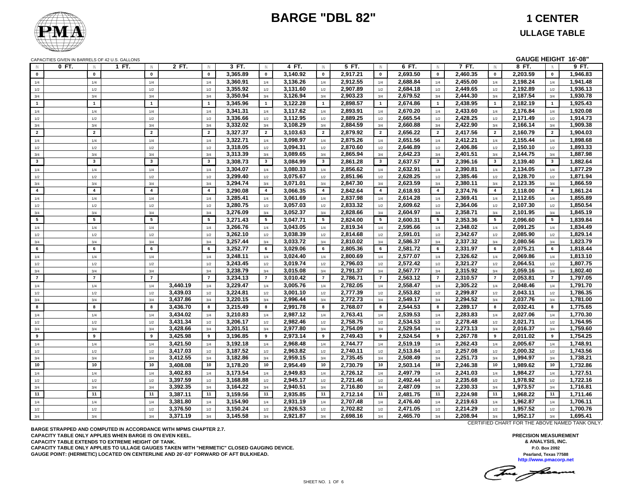

**GAUGE HEIGHT 16'-08"**

CAPACITIES GIVEN IN BARRELS OF 42 U.S. GALLONS

| $\mathsf{N}$            | $0$ FT.<br>$\mathbb{N}$ | 1 FT.<br>$\mathbb N$    | 2 FT.    | $\mathbb{N}$            | 3 FT.    | $\mathbb N$             | 4 FT.    | $\mathbb{N}$            | 5 FT.    | IN                      | 6 FT.    | IN                      | 7 FT.    | $\mathbb N$             | 8 FT.    | $\mathbb N$     | 9 FT.    |
|-------------------------|-------------------------|-------------------------|----------|-------------------------|----------|-------------------------|----------|-------------------------|----------|-------------------------|----------|-------------------------|----------|-------------------------|----------|-----------------|----------|
| $\mathbf 0$             | $\mathbf 0$             | $\mathbf 0$             |          | $\mathbf 0$             | 3,365.89 | $\mathbf 0$             | 3,140.92 | $\mathbf{0}$            | 2,917.21 | $\mathbf 0$             | 2,693.50 | $\mathbf{0}$            | 2,460.35 | $\mathbf{0}$            | 2,203.59 | $\mathbf{0}$    | 1,946.83 |
| 1/4                     | 1/4                     | 1/4                     |          | 1/4                     | 3,360.91 | 1/4                     | 3,136.26 | 1/4                     | 2,912.55 | 1/4                     | 2,688.84 | 1/4                     | 2,455.00 | 1/4                     | 2,198.24 | 1/4             | 1,941.48 |
| 1/2                     | 1/2                     | 1/2                     |          | 1/2                     | 3,355.92 | 1/2                     | 3,131.60 | 1/2                     | 2,907.89 | 1/2                     | 2,684.18 | 1/2                     | 2,449.65 | 1/2                     | 2,192.89 | 1/2             | 1,936.13 |
| 3/4                     | 3/4                     | 3/4                     |          | 3/4                     | 3,350.94 | 3/4                     | 3,126.94 | 3/4                     | 2,903.23 | 3/4                     | 2,679.52 | 3/4                     | 2,444.30 | 3/4                     | 2,187.54 | 3/4             | 1,930.78 |
| $\overline{1}$          | $\overline{1}$          | $\blacktriangleleft$    |          | $\mathbf{1}$            | 3,345.96 | $\overline{1}$          | 3,122.28 | $\blacksquare$          | 2,898.57 | $\overline{1}$          | 2,674.86 | $\mathbf 1$             | 2,438.95 | $\mathbf{1}$            | 2,182.19 | $\mathbf{1}$    | 1,925.43 |
| 1/4                     | 1/4                     | $1/4$                   |          | 1/4                     | 3,341.31 | $1/4$                   | 3,117.62 | 1/4                     | 2,893.91 | $1/4$                   | 2,670.20 | 1/4                     | 2,433.60 | 1/4                     | 2,176.84 | 1/4             | 1,920.08 |
| 1/2                     | 1/2                     | 1/2                     |          | 1/2                     | 3,336.66 | 1/2                     | 3,112.95 | 1/2                     | 2,889.25 | 1/2                     | 2,665.54 | 1/2                     | 2,428.25 | 1/2                     | 2,171.49 | 1/2             | 1,914.73 |
| 3/4                     | 3/4                     | 3/4                     |          | 3/4                     | 3,332.02 | 3/4                     | 3,108.29 | 3/4                     | 2,884.59 | 3/4                     | 2,660.88 | 3/4                     | 2,422.90 | 3/4                     | 2,166.14 | 3/4             | 1,909.38 |
| $\overline{2}$          | $\overline{2}$          | $\overline{2}$          |          | $\overline{2}$          | 3,327.37 | $\overline{2}$          | 3,103.63 | $2^{\circ}$             | 2,879.92 | $\overline{2}$          | 2.656.22 | $\overline{2}$          | 2,417.56 | $\overline{2}$          | 2,160.79 | $\overline{2}$  | 1,904.03 |
| 1/4                     | 1/4                     | 1/4                     |          | 1/4                     | 3,322.71 | 1/4                     | 3,098.97 | 1/4                     | 2,875.26 | 1/4                     | 2,651.56 | 1/4                     | 2,412.21 | 1/4                     | 2,155.44 | 1/4             | 1,898.68 |
| 1/2                     | 1/2                     | 1/2                     |          | 1/2                     | 3,318.05 | 1/2                     | 3,094.31 | 1/2                     | 2,870.60 | 1/2                     | 2,646.89 | 1/2                     | 2,406.86 | 1/2                     | 2,150.10 | 1/2             | 1,893.33 |
| 3/4                     | 3/4                     | 3/4                     |          | 3/4                     | 3,313.39 | 3/4                     | 3,089.65 | 3/4                     | 2,865.94 | 3/4                     | 2,642.23 | 3/4                     | 2,401.51 | 3/4                     | 2,144.75 | 3/4             | 1,887.98 |
| $\overline{\mathbf{3}}$ | $\mathbf{3}$            | $\overline{\mathbf{3}}$ |          | $\overline{\mathbf{3}}$ | 3,308.73 | $\overline{\mathbf{3}}$ | 3,084.99 | $\mathbf{3}$            | 2,861.28 | $\overline{\mathbf{3}}$ | 2,637.57 | $\mathbf{3}$            | 2,396.16 | $\overline{\mathbf{3}}$ | 2,139.40 | $\mathbf{3}$    | 1,882.64 |
| 1/4                     | 1/4                     | 1/4                     |          | 1/4                     | 3,304.07 | 1/4                     | 3,080.33 | 1/4                     | 2,856.62 | 1/4                     | 2,632.91 | 1/4                     | 2,390.81 | 1/4                     | 2,134.05 | 1/4             | 1,877.29 |
| 1/2                     | 1/2                     | 1/2                     |          | 1/2                     | 3,299.40 | 1/2                     | 3,075.67 | 1/2                     | 2,851.96 | 1/2                     | 2,628.25 | 1/2                     | 2,385.46 | $1/2$                   | 2,128.70 | 1/2             | 1,871.94 |
| 3/4                     | 3/4                     | 3/4                     |          | 3/4                     | 3,294.74 | 3/4                     | 3,071.01 | 3/4                     | 2,847.30 | 3/4                     | 2,623.59 | 3/4                     | 2,380.11 | 3/4                     | 2,123.35 | 3/4             | 1,866.59 |
| $\overline{4}$          | $\overline{4}$          | $\overline{4}$          |          | $\overline{4}$          | 3,290.08 | $\overline{a}$          | 3,066.35 | $\overline{\mathbf{4}}$ | 2,842.64 | $\overline{4}$          | 2,618.93 | $\overline{\mathbf{4}}$ | 2,374.76 | 4                       | 2,118.00 | $\overline{4}$  | 1,861.24 |
| 1/4                     | 1/4                     | 1/4                     |          | 1/4                     | 3,285.41 | 1/4                     | 3,061.69 | 1/4                     | 2,837.98 | $1/4$                   | 2,614.28 | 1/4                     | 2,369.41 | 1/4                     | 2,112.65 | 1/4             | 1,855.89 |
| 1/2                     | 1/2                     | 1/2                     |          | 1/2                     | 3,280.75 | 1/2                     | 3,057.03 | 1/2                     | 2,833.32 | 1/2                     | 2,609.62 | 1/2                     | 2,364.06 | 1/2                     | 2,107.30 | 1/2             | 1,850.54 |
| 3/4                     | 3/4                     | 3/4                     |          | 3/4                     | 3,276.09 | 3/4                     | 3,052.37 | 3/4                     | 2,828.66 | 3/4                     | 2,604.97 | 3/4                     | 2,358.71 | 3/4                     | 2,101.95 | 3/4             | 1,845.19 |
| $5\phantom{.0}$         | 5                       | $5\phantom{.0}$         |          | $5\phantom{.0}$         | 3,271.43 | $5\phantom{.0}$         | 3,047.71 | $5^{\circ}$             | 2,824.00 | 5                       | 2,600.31 | $5\phantom{.0}$         | 2,353.36 | 5                       | 2,096.60 | $5\overline{5}$ | 1,839.84 |
| 1/4                     | 1/4                     | 1/4                     |          | 1/4                     | 3,266.76 | 1/4                     | 3,043.05 | 1/4                     | 2,819.34 | 1/4                     | 2,595.66 | 1/4                     | 2,348.02 | 1/4                     | 2,091.25 | 1/4             | 1,834.49 |
| 1/2                     | 1/2                     | 1/2                     |          | 1/2                     | 3,262.10 | 1/2                     | 3,038.39 | 1/2                     | 2,814.68 | 1/2                     | 2,591.01 | 1/2                     | 2,342.67 | 1/2                     | 2,085.90 | 1/2             | 1,829.14 |
| 3/4                     | 3/4                     | 3/4                     |          | 3/4                     | 3,257.44 | 3/4                     | 3,033.72 | 3/4                     | 2,810.02 | 3/4                     | 2,586.37 | 3/4                     | 2,337.32 | 3/4                     | 2,080.56 | 3/4             | 1,823.79 |
| 6                       | 6                       | 6                       |          | 6                       | 3,252.77 | 6                       | 3,029.06 | 6                       | 2,805.36 | 6                       | 2,581.72 | 6                       | 2,331.97 | 6                       | 2,075.21 | 6               | 1,818.44 |
| 1/4                     | 1/4                     | 1/4                     |          | 1/4                     | 3,248.11 | 1/4                     | 3,024.40 | 1/4                     | 2,800.69 | 1/4                     | 2,577.07 | 1/4                     | 2,326.62 | 1/4                     | 2,069.86 | 1/4             | 1,813.10 |
| $1/2$                   | 1/2                     | 1/2                     |          | 1/2                     | 3,243.45 | 1/2                     | 3,019.74 | 1/2                     | 2,796.03 | $1/2$                   | 2,572.42 | 1/2                     | 2,321.27 | $1/2$                   | 2,064.51 | 1/2             | 1,807.75 |
| 3/4                     | 3/4                     | 3/4                     |          | 3/4                     | 3,238.79 | 3/4                     | 3,015.08 | 3/4                     | 2,791.37 | 3/4                     | 2,567.77 | 3/4                     | 2,315.92 | 3/4                     | 2,059.16 | 3/4             | 1,802.40 |
| $\overline{7}$          | $\overline{7}$          | $\overline{7}$          |          | $\overline{7}$          | 3,234.13 | $\overline{7}$          | 3,010.42 | $\overline{7}$          | 2,786.71 | $\overline{7}$          | 2,563.12 | $\overline{7}$          | 2,310.57 | $\overline{7}$          | 2,053.81 | $\overline{7}$  | 1,797.05 |
| 1/4                     | 1/4                     | 1/4                     | 3,440.19 | 1/4                     | 3,229.47 | 1/4                     | 3,005.76 | 1/4                     | 2,782.05 | 1/4                     | 2,558.47 | 1/4                     | 2,305.22 | 1/4                     | 2,048.46 | 1/4             | 1,791.70 |
| 1/2                     | 1/2                     | 1/2                     | 3,439.03 | 1/2                     | 3,224.81 | 1/2                     | 3,001.10 | 1/2                     | 2,777.39 | 1/2                     | 2,553.82 | 1/2                     | 2,299.87 | 1/2                     | 2,043.11 | 1/2             | 1,786.35 |
| 3/4                     | 3/4                     | 3/4                     | 3,437.86 | 3/4                     | 3,220.15 | 3/4                     | 2,996.44 | 3/4                     | 2,772.73 | 3/4                     | 2,549.17 | 3/4                     | 2,294.52 | 3/4                     | 2,037.76 | 3/4             | 1,781.00 |
| 8                       | 8                       | 8                       | 3,436.70 | 8                       | 3,215.49 | 8                       | 2,991.78 | 8                       | 2,768.07 | 8                       | 2,544.53 | 8                       | 2,289.17 | 8                       | 2,032.41 | 8               | 1,775.65 |
| 1/4                     | 1/4                     | 1/4                     | 3,434.02 | 1/4                     | 3,210.83 | 1/4                     | 2,987.12 | 1/4                     | 2,763.41 | 1/4                     | 2,539.53 | 1/4                     | 2,283.83 | 1/4                     | 2,027.06 | 1/4             | 1,770.30 |
| 1/2                     | 1/2                     | 1/2                     | 3,431.34 | 1/2                     | 3,206.17 | 1/2                     | 2,982.46 | 1/2                     | 2,758.75 | 1/2                     | 2,534.53 | 1/2                     | 2,278.48 | 1/2                     | 2,021.71 | 1/2             | 1,764.95 |
| 3/4                     | 3/4                     | 3/4                     | 3,428.66 | 3/4                     | 3,201.51 | 3/4                     | 2,977.80 | 3/4                     | 2,754.09 | 3/4                     | 2,529.54 | 3/4                     | 2,273.13 | 3/4                     | 2,016.37 | 3/4             | 1,759.60 |
| 9                       | 9                       | 9                       | 3,425.98 | 9                       | 3,196.85 | 9                       | 2,973.14 | 9                       | 2,749.43 | 9                       | 2,524.54 | 9                       | 2,267.78 | 9                       | 2,011.02 | 9               | 1,754.25 |
| 1/4                     | 1/4                     | 1/4                     | 3,421.50 | 1/4                     | 3,192.18 | 1/4                     | 2,968.48 | 1/4                     | 2,744.77 | 1/4                     | 2,519.19 | 1/4                     | 2,262.43 | 1/4                     | 2,005.67 | 1/4             | 1,748.91 |
| 1/2                     | 1/2                     | 1/2                     | 3,417.03 | 1/2                     | 3,187.52 | 1/2                     | 2,963.82 | 1/2                     | 2,740.11 | 1/2                     | 2,513.84 | 1/2                     | 2,257.08 | 1/2                     | 2,000.32 | 1/2             | 1,743.56 |
| 3/4                     | 3/4                     | 3/4                     | 3,412.55 | 3/4                     | 3,182.86 | 3/4                     | 2,959.15 | 3/4                     | 2,735.45 | 3/4                     | 2,508.49 | 3/4                     | 2,251.73 | 3/4                     | 1,994.97 | 3/4             | 1,738.21 |
| 10                      | 10                      | 10                      | 3,408.08 | 10                      | 3,178.20 | 10                      | 2,954.49 | 10                      | 2,730.79 | 10                      | 2,503.14 | 10                      | 2,246.38 | 10 <sup>10</sup>        | 1,989.62 | 10 <sup>1</sup> | 1,732.86 |
| 1/4                     | 1/4                     | 1/4                     | 3,402.83 | 1/4                     | 3,173.54 | 1/4                     | 2,949.83 | 1/4                     | 2,726.12 | 1/4                     | 2,497.79 | 1/4                     | 2,241.03 | 1/4                     | 1,984.27 | 1/4             | 1,727.51 |
| 1/2                     | 1/2                     | 1/2                     | 3,397.59 | 1/2                     | 3,168.88 | 1/2                     | 2,945.17 | 1/2                     | 2,721.46 | 1/2                     | 2,492.44 | 1/2                     | 2,235.68 | 1/2                     | 1,978.92 | 1/2             | 1,722.16 |
| 3/4                     | 3/4                     | 3/4                     | 3,392.35 | 3/4                     | 3,164.22 | 3/4                     | 2,940.51 | 3/4                     | 2,716.80 | 3/4                     | 2,487.09 | 3/4                     | 2,230.33 | 3/4                     | 1,973.57 | 3/4             | 1,716.81 |
| 11                      | 11                      | 11                      | 3,387.11 | 11                      | 3,159.56 | 11                      | 2,935.85 | 11                      | 2,712.14 | 11                      | 2,481.75 | 11                      | 2,224.98 | 11                      | 1,968.22 | 11              | 1,711.46 |
| 1/4                     | 1/4                     | 1/4                     | 3,381.80 | 1/4                     | 3,154.90 | 1/4                     | 2,931.19 | 1/4                     | 2,707.48 | 1/4                     | 2,476.40 | 1/4                     | 2,219.63 | 1/4                     | 1,962.87 | 1/4             | 1,706.11 |
| 1/2                     | 1/2                     | 1/2                     | 3,376.50 | 1/2                     | 3,150.24 | 1/2                     | 2,926.53 | 1/2                     | 2,702.82 | 1/2                     | 2,471.05 | 1/2                     | 2,214.29 | 1/2                     | 1,957.52 | 1/2             | 1,700.76 |
| 3/4                     | 3/4                     | 3/4                     | 3,371.19 | 3/4                     | 3,145.58 | 3/4                     | 2,921.87 | 3/4                     | 2,698.16 | 3/4                     | 2,465.70 | 3/4                     | 2,208.94 | 3/4                     | 1,952.17 | 3/4             | 1,695.41 |

**BARGE STRAPPED AND COMPUTED IN ACCORDANCE WITH MPMS CHAPTER 2.7. CAPACITY TABLE ONLY APPLIES WHEN BARGE IS ON EVEN KEEL. CAPACITY TABLE EXTENDS TO EXTREME HEIGHT OF TANK. CAPACITY TABLE ONLY APPLIES TO ULLAGE GAUGES TAKEN WITH "HERMETIC" CLOSED GAUGING DEVICE. GAUGE POINT: (HERMETIC) LOCATED ON CENTERLINE AND 26'-03" FORWARD OF AFT BULKHEAD.**

CERTIFIED CHART FOR THE ABOVE NAMED TANK ONLY.

**PRECISION MEASUREMENT & ANALYSIS, INC. P.O. Box 2092 Pearland, Texas 77588 http://www.pmacorp.net**

The freeman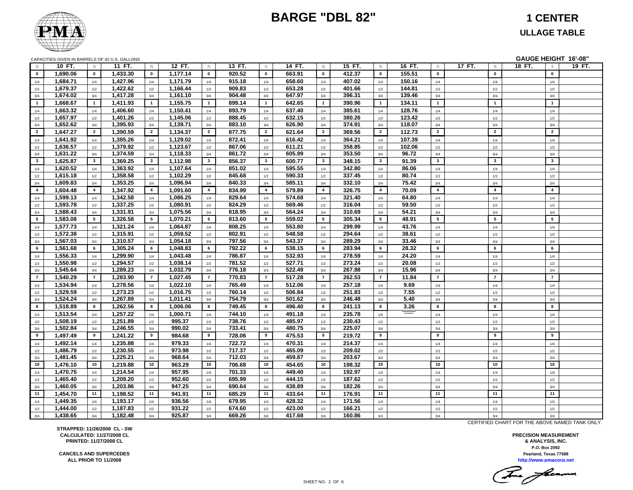

### **ULLAGE TABLE**

|                | CAPACITIES GIVEN IN BARRELS OF 42 U.S. GALLONS |                         |                      |                         |                    |                 |                  |                         |                  |                         |                  |                         |             |                         |        |                         | GAUGE HEIGHT 16'-08"    |        |
|----------------|------------------------------------------------|-------------------------|----------------------|-------------------------|--------------------|-----------------|------------------|-------------------------|------------------|-------------------------|------------------|-------------------------|-------------|-------------------------|--------|-------------------------|-------------------------|--------|
| $\mathsf{N}$   | 10 FT.                                         | $\mathsf{I}$            | 11 FT.               | $\mathbb{N}$            | 12 FT.             | $\mathsf{IN}$   | 13 FT.           | $\mathbb N$             | 14 FT.           | $\mathsf{IN}$           | 15 FT.           | IN                      | 16 FT.      | IN                      | 17 FT. | IN                      | 18 FT.<br>IN            | 19 FT. |
| $\mathbf 0$    | 1,690.06                                       | $\mathbf 0$             | 1,433.30             | $\mathbf 0$             | 1,177.14           | $\mathbf{0}$    | 920.52           | $\mathbf 0$             | 663.91           | $\mathbf{0}$            | 412.37           | $\mathbf 0$             | 155.51      | $\mathbf 0$             |        | $\mathbf 0$             | $\mathbf{0}$            |        |
| 1/4            | 1,684.71                                       | 1/4                     | 1,427.96             | 1/4                     | 1,171.79           | 1/4             | 915.18           | 1/4                     | 658.60           | 1/4                     | 407.02           | 1/4                     | 150.16      | 1/4                     |        | 1/4                     | 1/4                     |        |
| 1/2            | 1,679.37                                       | 1/2                     | 1,422.62             | 1/2                     | 1,166.44           | 1/2             | 909.83           | 1/2                     | 653.28           | 1/2                     | 401.66           | 1/2                     | 144.81      | 1/2                     |        | $1/2\,$                 | 1/2                     |        |
| 3/4            | 1,674.02                                       | 3/4                     | 1,417.28             | 3/4                     | 1,161.10           | 3/4             | 904.48           | 3/4                     | 647.97           | 3/4                     | 396.31           | 3/4                     | 139.46      | 3/4                     |        | 3/4                     | 3/4                     |        |
| $\overline{1}$ | 1,668.67                                       | $\mathbf{1}$            | 1,411.93             | $\overline{1}$          | 1,155.75           | $\mathbf{1}$    | 899.14           | $\overline{1}$          | 642.65           | $\overline{1}$          | 390.96           | $\overline{1}$          | 134.11      | $\overline{1}$          |        | $\overline{\mathbf{1}}$ | $\mathbf{1}$            |        |
| 1/4            | 1,663.32                                       | 1/4                     | 1,406.60             | 1/4                     | 1,150.41           | 1/4             | 893.79           | 1/4                     | 637.40           | 1/4                     | 385.61           | 1/4                     | 128.76      | 1/4                     |        | 1/4                     | 1/4                     |        |
| 1/2            | 1,657.97                                       | 1/2                     | 1,401.26             | 1/2                     | 1,145.06           | 1/2             | 888.45           | 1/2                     | 632.15           | 1/2                     | 380.26           | 1/2                     | 123.42      | 1/2                     |        | 1/2                     | 1/2                     |        |
| 3/4            | 1,652.62                                       | 3/4                     | 1,395.93             | 3/4                     | 1,139.71           | 3/4             | 883.10           | 3/4                     | 626.90           | 3/4                     | 374.91           | 3/4                     | 118.07      | 3/4                     |        | 3/4                     | 3/4                     |        |
| $\overline{2}$ | 1,647.27                                       | $\overline{2}$          | 1,390.59             | $\overline{2}$          | 1,134.37           | $\overline{2}$  | 877.75           | $\overline{2}$          | 621.64           | $\overline{2}$          | 369.56           | $\overline{2}$          | 112.73      | $\overline{2}$          |        | $\overline{2}$          | $\overline{2}$          |        |
| 1/4            | 1,641.92                                       | 1/4                     | 1,385.26             | 1/4                     | 1,129.02           | 1/4             | 872.41           | 1/4                     | 616.42           | 1/4                     | 364.21           | 1/4                     | 107.39      | 1/4                     |        | 1/4                     | 1/4                     |        |
| 1/2            | 1,636.57                                       | 1/2                     | 1,379.92             | $1/2$                   | 1,123.67           | 1/2             | 867.06           | 1/2                     | 611.21           | 1/2                     | 358.85           | 1/2                     | 102.06      | 1/2                     |        | 1/2                     | 1/2                     |        |
| 3/4            | 1,631.22                                       | 3/4                     | 1,374.59             | 3/4                     | 1,118.33           | 3/4             | 861.72           | 3/4                     | 605.99           | 3/4                     | 353.50           | 3/4                     | 96.72       | 3/4                     |        | 3/4                     | 3/4                     |        |
| $\mathbf{3}$   | 1,625.87                                       | $\overline{\mathbf{3}}$ | 1,369.25             | $\overline{\mathbf{3}}$ | 1,112.98           | $\mathbf{3}$    | 856.37           | $\overline{\mathbf{3}}$ | 600.77           | $\overline{\mathbf{3}}$ | 348.15           | $\overline{\mathbf{3}}$ | 91.39       | $\overline{\mathbf{3}}$ |        | $\overline{\mathbf{3}}$ | $\overline{\mathbf{3}}$ |        |
| 1/4            | 1,620.52                                       | 1/4                     | 1,363.92             | 1/4                     | 1,107.64           | 1/4             | 851.02           | 1/4                     | 595.55           | 1/4                     | 342.80           | 1/4                     | 86.06       | 1/4                     |        | 1/4                     | 1/4                     |        |
| 1/2            | 1,615.18                                       | 1/2                     | 1,358.58             | 1/2                     | 1,102.29           | 1/2             | 845.68           | 1/2                     | 590.33           | 1/2                     | 337.45           | 1/2                     | 80.74       | 1/2                     |        | 1/2                     | 1/2                     |        |
| 3/4            | 1,609.83                                       | 3/4                     | 1,353.25             | 3/4                     | 1,096.94           | 3/4             | 840.33           | 3/4                     | 585.11           | 3/4                     | 332.10           | 3/4                     | 75.42       | 3/4                     |        | 3/4                     | 3/4                     |        |
| $\overline{4}$ | 1,604.48                                       | $\overline{4}$          | 1,347.92             | $\overline{4}$          | 1,091.60           | $\overline{4}$  | 834.99           | $\overline{4}$          | 579.89           | $\overline{4}$          | 326.75           | $\overline{4}$          | 70.09       | $\overline{4}$          |        | $\overline{\mathbf{4}}$ | $\overline{\mathbf{4}}$ |        |
| 1/4            | 1,599.13                                       | 1/4                     | 1,342.58             | 1/4                     | 1,086.25           | 1/4             | 829.64           | 1/4                     | 574.68           | 1/4                     | 321.40           | 1/4                     | 64.80       | 1/4                     |        | 1/4                     | 1/4                     |        |
| 1/2            | 1,593.78                                       | 1/2                     | 1,337.25             | 1/2                     | 1,080.91           | 1/2             | 824.29           | 1/2                     | 569.46           | 1/2                     | 316.04           | 1/2                     | 59.50       | 1/2                     |        | 1/2                     | 1/2                     |        |
| 3/4            | 1,588.43                                       | 3/4                     | 1,331.91             | 3/4                     | 1,075.56           | 3/4             | 818.95           | 3/4                     | 564.24           | 3/4                     | 310.69           | 3/4                     | 54.21       | 3/4                     |        | 3/4                     | 3/4                     |        |
| 5 <sub>5</sub> | 1,583.08                                       | $5\phantom{.0}$         | 1,326.58             | 5                       | 1,070.21           | $5\overline{5}$ | 813.60           | $5\overline{5}$         | 559.02           | $5\overline{5}$         | 305.34           | $5\overline{5}$         | 48.91       | 5                       |        | 5                       | 5                       |        |
| 1/4            | 1,577.73                                       | 1/4                     | 1,321.24             | 1/4                     | 1,064.87           | 1/4             | 808.25           | 1/4                     | 553.80           | 1/4                     | 299.99           | 1/4                     | 43.76       | 1/4                     |        | 1/4                     | 1/4                     |        |
| 1/2            | 1,572.38                                       | 1/2                     | 1,315.91             | 1/2                     | 1,059.52           | 1/2             | 802.91           | 1/2                     | 548.58           | 1/2                     | 294.64           | 1/2                     | 38.61       | 1/2                     |        | 1/2                     | 1/2                     |        |
| 3/4            | 1,567.03                                       | 3/4                     | 1,310.57             | 3/4                     | 1,054.18           | 3/4             | 797.56           | 3/4                     | 543.37           | 3/4                     | 289.29           | 3/4                     | 33.46       | 3/4                     |        | 3/4                     | 3/4                     |        |
| 6              | 1,561.68                                       | 6                       | 1,305.24             | 6                       | 1,048.83           | 6               | 792.22           | 6                       | 538.15           | 6                       | 283.94           | 6                       | 28.32       | 6                       |        | 6                       | 6                       |        |
| 1/4            | 1,556.33                                       | 1/4                     | 1,299.90             | 1/4                     | 1,043.48           | 1/4             | 786.87           | 1/4                     | 532.93           | 1/4                     | 278.59           | 1/4                     | 24.20       | 1/4                     |        | 1/4                     | 1/4                     |        |
| 1/2            | 1,550.98                                       | 1/2                     | 1,294.57             | 1/2                     | 1,038.14           | 1/2             | 781.52           | 1/2                     | 527.71           | 1/2                     | 273.24           | 1/2                     | 20.08       | 1/2                     |        | 1/2                     | 1/2                     |        |
| 3/4            | 1,545.64                                       | 3/4                     | 1,289.23             | 3/4                     | 1,032.79           | 3/4             | 776.18           | 3/4                     | 522.49           | 3/4                     | 267.88           | 3/4                     | 15.96       | 3/4                     |        | 3/4                     | 3/4                     |        |
| $\overline{7}$ | 1,540.29                                       | $\overline{7}$          | 1,283.90             | $\overline{7}$          | 1,027.45           | $\overline{7}$  | 770.83           | $\overline{7}$          | 517.28           | $\overline{7}$          | 262.53           | $\overline{7}$          | 11.84       | $\overline{7}$          |        | $\overline{7}$          | $\overline{7}$          |        |
| 1/4            | 1,534.94                                       | 1/4                     | 1,278.56             | 1/4                     | 1,022.10           | 1/4             | 765.49           | 1/4                     | 512.06           | 1/4                     | 257.18           | 1/4                     | 9.69        | 1/4                     |        | 1/4                     | 1/4                     |        |
| 1/2            | 1,529.59                                       | 1/2                     | 1,273.23             | 1/2                     | 1,016.75           | 1/2             | 760.14           | 1/2                     | 506.84           | 1/2                     | 251.83           | 1/2                     | 7.55        | 1/2                     |        | 1/2                     | 1/2                     |        |
| 3/4            | 1,524.24                                       | 3/4                     | 1,267.89             | 3/4                     | 1,011.41           | 3/4             | 754.79           | 3/4                     | 501.62           | 3/4                     | 246.48           | 3/4<br>8                | 5.40        | 3/4                     |        | 3/4                     | 3/4                     |        |
| 8              | 1,518.89                                       | 8                       | 1,262.56             | 8                       | 1,006.06           | 8               | 749.45           | 8                       | 496.40           | 8                       | 241.13           |                         | 3.26<br>$=$ | 8                       |        | 8                       | 8                       |        |
| 1/4            | 1,513.54                                       | 1/4                     | 1,257.22<br>1,251.89 | 1/4                     | 1,000.71<br>995.37 | 1/4             | 744.10<br>738.76 | 1/4                     | 491.18           | 1/4                     | 235.78<br>230.43 | 1/4                     |             | 1/4                     |        | $1/4\,$                 | 1/4                     |        |
| 1/2            | 1,508.19<br>1,502.84                           | 1/2<br>3/4              | 1,246.55             | 1/2<br>3/4              | 990.02             | 1/2<br>3/4      | 733.41           | 1/2<br>3/4              | 485.97<br>480.75 | 1/2<br>3/4              | 225.07           | 1/2<br>3/4              |             | 1/2<br>3/4              |        | 1/2<br>3/4              | 1/2<br>3/4              |        |
| 3/4<br>9       | 1,497.49                                       | 9                       | 1,241.22             | 9                       | 984.68             | 9               | 728.06           | 9                       | 475.53           | 9                       | 219.72           | 9                       |             | 9                       |        | 9                       | 9                       |        |
|                | 1,492.14                                       |                         | 1,235.88             |                         | 979.33             |                 | 722.72           |                         | 470.31           | 1/4                     | 214.37           | $1/4$                   |             | 1/4                     |        | 1/4                     |                         |        |
| 1/4            | 1,486.79                                       | 1/4<br>1/2              | 1,230.55             | 1/4<br>1/2              | 973.98             | 1/4<br>1/2      | 717.37           | 1/4<br>1/2              | 465.09           | 1/2                     | 209.02           | 1/2                     |             | 1/2                     |        | 1/2                     | $1/4\,$<br>1/2          |        |
| 1/2<br>3/4     | 1,481.45                                       | 3/4                     | 1,225.21             | 3/4                     | 968.64             | 3/4             | 712.03           | 3/4                     | 459.87           | 3/4                     | 203.67           | 3/4                     |             | 3/4                     |        | 3/4                     | 3/4                     |        |
| 10             | 1,476.10                                       | 10                      | 1,219.88             | 10                      | 963.29             | 10              | 706.68           | 10                      | 454.65           | 10                      | 198.32           | 10                      |             | 10                      |        | 10                      | 10                      |        |
| 1/4            | 1.470.75                                       | 1/4                     | 1.214.54             | 1/4                     | 957.95             | 1/4             | 701.33           | 1/4                     | 449.40           | 1/4                     | 192.97           | 1/4                     |             | 1/4                     |        | 1/4                     | 1/4                     |        |
| 1/2            | 1,465.40                                       | 1/2                     | 1,209.20             | 1/2                     | 952.60             | 1/2             | 695.99           | 1/2                     | 444.15           | 1/2                     | 187.62           | 1/2                     |             | 1/2                     |        | 1/2                     | 1/2                     |        |
| 3/4            | 1,460.05                                       | 3/4                     | 1,203.86             | 3/4                     | 947.25             | 3/4             | 690.64           | 3/4                     | 438.89           | 3/4                     | 182.26           | 3/4                     |             | 3/4                     |        | 3/4                     | 3/4                     |        |
| 11             | 1,454.70                                       | 11                      | 1,198.52             | 11                      | 941.91             | 11              | 685.29           | 11                      | 433.64           | 11                      | 176.91           | 11                      |             | 11                      |        | 11                      | 11                      |        |
| 1/4            | 1.449.35                                       | 1/4                     | 1,193.17             | 1/4                     | 936.56             | 1/4             | 679.95           | 1/4                     | 428.32           | 1/4                     | 171.56           | 1/4                     |             | 1/4                     |        | 1/4                     | 1/4                     |        |
| 1/2            | 1,444.00                                       | 1/2                     | 1,187.83             | 1/2                     | 931.22             | 1/2             | 674.60           | 1/2                     | 423.00           | 1/2                     | 166.21           | 1/2                     |             | 1/2                     |        | 1/2                     | 1/2                     |        |
| 3/4            | 1,438.65                                       | 3/4                     | 1,182.48             | 3/4                     | 925.87             | 3/4             | 669.26           | 3/4                     | 417.68           | 3/4                     | 160.86           | 3/4                     |             | 3/4                     |        | 3/4                     | 3/4                     |        |
|                |                                                |                         |                      |                         |                    |                 |                  |                         |                  |                         |                  |                         |             |                         |        |                         |                         |        |

**STRAPPED: 11/26/2008 CL - SW CALCULATED: 11/27/2008 CL PRINTED: 11/27/2008 CL**

**CANCELS AND SUPERCEDESALL PRIOR TO 11/2008**

CERTIFIED CHART FOR THE ABOVE NAMED TANK ONLY.

**P.O. Box 2092 PRECISION MEASUREMENT & ANALYSIS, INC. http://www.pmacorp.net Pearland, Texas 77588**

(For frame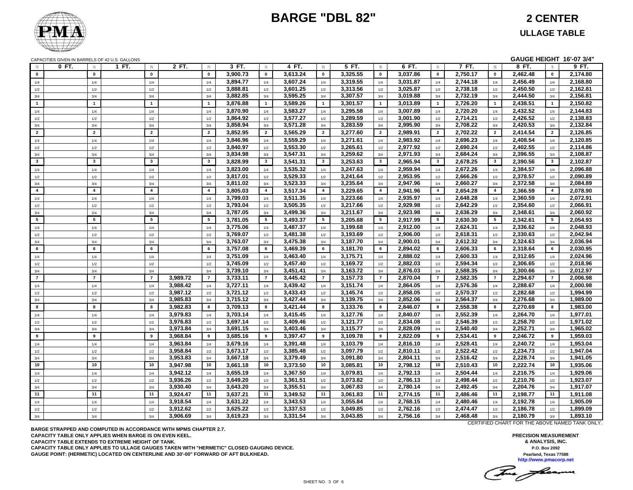

**GAUGE HEIGHT 16'-07 3/4"**

CAPACITIES GIVEN IN BARRELS OF 42 U.S. GALLONS

| $\mathsf{N}$            | $0$ FT.<br>$\mathbb{N}$ | 1 FT.<br>$\mathbb N$    | 2 FT.                | $\mathbb{N}$            | $3$ FT.              | $\mathbb N$             | 4 FT.                | IN                      | 5 FT.                | $\mathsf{I}$ N          | 6 FT.                | IN                      | 7 FT.                | IN                      | 8 FT.                | $\mathsf{IN}$   | 9 FT.                |
|-------------------------|-------------------------|-------------------------|----------------------|-------------------------|----------------------|-------------------------|----------------------|-------------------------|----------------------|-------------------------|----------------------|-------------------------|----------------------|-------------------------|----------------------|-----------------|----------------------|
| $\mathbf 0$             | $\mathbf 0$             | $\mathbf 0$             |                      | $\mathbf 0$             | 3,900.73             | $\mathbf 0$             | 3,613.24             | $\mathbf{0}$            | 3.325.55             | $\mathbf 0$             | 3.037.86             | $\mathbf{0}$            | 2.750.17             | $\mathbf{0}$            | 2.462.48             | $\mathbf{0}$    | 2,174.80             |
| 1/4                     | 1/4                     | 1/4                     |                      | 1/4                     | 3,894.77             | 1/4                     | 3.607.24             | 1/4                     | 3,319.55             | 1/4                     | 3,031.87             | 1/4                     | 2,744.18             | 1/4                     | 2.456.49             | 1/4             | 2,168.80             |
| $1/2$                   | 1/2                     | 1/2                     |                      | 1/2                     | 3,888.81             | 1/2                     | 3,601.25             | 1/2                     | 3,313.56             | 1/2                     | 3,025.87             | 1/2                     | 2,738.18             | 1/2                     | 2.450.50             | 1/2             | 2,162.81             |
| 3/4                     | 3/4                     | 3/4                     |                      | 3/4                     | 3,882.85             | 3/4                     | 3,595.25             | 3/4                     | 3,307.57             | 3/4                     | 3,019.88             | 3/4                     | 2,732.19             | 3/4                     | 2,444.50             | 3/4             | 2,156.81             |
| $\overline{1}$          | $\mathbf{1}$            | $\overline{1}$          |                      | $\mathbf{1}$            | 3,876.88             | $\blacktriangleleft$    | 3,589.26             | $\mathbf 1$             | 3,301.57             | $\mathbf{1}$            | 3,013.89             | $\mathbf{1}$            | 2,726.20             | $\mathbf{1}$            | 2,438.51             | $\mathbf{1}$    | 2,150.82             |
| 1/4                     | 1/4                     | 1/4                     |                      | 1/4                     | 3,870.90             | 1/4                     | 3,583.27             | 1/4                     | 3,295.58             | 1/4                     | 3,007.89             | 1/4                     | 2,720.20             | 1/4                     | 2,432.52             | 1/4             | 2,144.83             |
| 1/2                     | 1/2                     | 1/2                     |                      | 1/2                     | 3,864.92             | 1/2                     | 3,577.27             | 1/2                     | 3,289.59             | 1/2                     | 3,001.90             | 1/2                     | 2,714.21             | 1/2                     | 2,426.52             | 1/2             | 2,138.83             |
| 3/4                     | 3/4                     | 3/4                     |                      | 3/4                     | 3,858.94             | 3/4                     | 3,571.28             | 3/4                     | 3,283.59             | 3/4                     | 2,995.90             | 3/4                     | 2,708.22             | 3/4                     | 2,420.53             | 3/4             | 2,132.84             |
| $\overline{2}$          | $\overline{2}$          | $\overline{2}$          |                      | $\overline{2}$          | 3,852.95             | $\overline{2}$          | 3,565.29             | $\overline{2}$          | 3,277.60             | $\overline{2}$          | 2,989.91             | $\overline{2}$          | 2,702.22             | $\mathbf{2}$            | 2,414.54             | $\overline{2}$  | 2,126.85             |
| 1/4                     | 1/4                     | 1/4                     |                      | 1/4                     | 3,846.96             | 1/4                     | 3,559.29             | 1/4                     | 3,271.61             | 1/4                     | 2,983.92             | 1/4                     | 2,696.23             | 1/4                     | 2,408.54             | 1/4             | 2,120.85             |
| 1/2                     | 1/2                     | 1/2                     |                      | 1/2                     | 3,840.97             | 1/2                     | 3,553.30             | 1/2                     | 3,265.61             | 1/2                     | 2,977.92             | 1/2                     | 2,690.24             | 1/2                     | 2,402.55             | 1/2             | 2,114.86             |
| 3/4                     | 3/4                     | 3/4                     |                      | 3/4                     | 3,834.98             | 3/4                     | 3,547.31             | 3/4                     | 3,259.62             | 3/4                     | 2,971.93             | 3/4                     | 2,684.24             | 3/4                     | 2,396.55             | 3/4             | 2,108.87             |
| $\overline{\mathbf{3}}$ | $\mathbf{3}$            | $\overline{\mathbf{3}}$ |                      | $\overline{\mathbf{3}}$ | 3,828.99             | $\overline{\mathbf{3}}$ | 3.541.31             | $\mathbf{3}$            | 3,253.63             | $\overline{\mathbf{3}}$ | 2.965.94             | $\mathbf{3}$            | 2,678.25             | $\overline{\mathbf{3}}$ | 2.390.56             | $\mathbf{3}$    | 2,102.87             |
| 1/4                     | 1/4                     | 1/4                     |                      | 1/4                     | 3,823.00             | 1/4                     | 3,535.32             | 1/4                     | 3,247.63             | 1/4                     | 2,959.94             | 1/4                     | 2,672.26             | 1/4                     | 2,384.57             | 1/4             | 2,096.88             |
| 1/2                     | 1/2                     | 1/2                     |                      | 1/2                     | 3,817.01             | 1/2                     | 3,529.33             | 1/2                     | 3,241.64             | 1/2                     | 2,953.95             | 1/2                     | 2,666.26             | 1/2                     | 2,378.57             | 1/2             | 2,090.89             |
| 3/4                     | 3/4                     | 3/4                     |                      | 3/4                     | 3,811.02             | 3/4                     | 3,523.33             | 3/4                     | 3,235.64             | 3/4                     | 2,947.96             | 3/4                     | 2,660.27             | 3/4                     | 2,372.58             | 3/4             | 2,084.89             |
| $\overline{\mathbf{4}}$ | $\overline{4}$          | $\overline{\mathbf{4}}$ |                      | $\overline{a}$          | 3,805.03             | $\overline{4}$          | 3,517.34             | $\overline{\mathbf{4}}$ | 3,229.65             | $\pmb{4}$               | 2,941.96             | $\overline{\mathbf{4}}$ | 2,654.28             | $\overline{\mathbf{4}}$ | 2,366.59             | $\overline{4}$  | 2,078.90             |
| 1/4                     | 1/4                     | 1/4                     |                      | 1/4                     | 3,799.03             | 1/4                     | 3,511.35             | 1/4                     | 3,223.66             | 1/4                     | 2,935.97             | 1/4                     | 2,648.28             | 1/4                     | 2,360.59             | 1/4             | 2,072.91             |
| 1/2                     | 1/2                     | 1/2                     |                      | 1/2                     | 3,793.04             | $1/2\,$                 | 3,505.35             | 1/2                     | 3,217.66             | 1/2                     | 2,929.98             | 1/2                     | 2,642.29             | 1/2                     | 2,354.60             | 1/2             | 2,066.91             |
| $3/4$                   | 3/4                     | 3/4                     |                      | 3/4                     | 3,787.05             | 3/4                     | 3,499.36             | 3/4                     | 3,211.67             | 3/4                     | 2,923.98             | 3/4                     | 2,636.29             | 3/4                     | 2,348.61             | 3/4             | 2,060.92             |
| $5\phantom{.0}$         | $5\phantom{.0}$         | ${\bf 5}$               |                      | $5\phantom{.0}$         | 3,781.05             | $5\overline{5}$         | 3,493.37             | $5\overline{5}$         | 3,205.68             | $5\phantom{.0}$         | 2,917.99             | $5\overline{5}$         | 2,630.30             | 5                       | 2,342.61             | $5\overline{5}$ | 2,054.93             |
| 1/4                     | 1/4                     | 1/4                     |                      | 1/4                     | 3,775.06             | 1/4                     | 3,487.37             | 1/4                     | 3,199.68             | 1/4                     | 2,912.00             | 1/4                     | 2,624.31             | 1/4                     | 2,336.62             | 1/4             | 2,048.93             |
| 1/2                     | $1/2$                   | $1/2$                   |                      | 1/2                     | 3,769.07             | $1/2$                   | 3,481.38             | 1/2                     | 3,193.69             | $1/2$                   | 2,906.00             | $1/2$                   | 2,618.31             | $1/2$                   | 2,330.63             | 1/2             | 2,042.94             |
| 3/4                     | 3/4                     | 3/4                     |                      | 3/4                     | 3,763.07             | 3/4                     | 3,475.38             | 3/4                     | 3,187.70             | 3/4                     | 2,900.01             | 3/4                     | 2,612.32             | 3/4                     | 2,324.63             | 3/4             | 2,036.94             |
| 6                       | 6                       | 6                       |                      | 6                       | 3,757.08             | 6                       | 3,469.39             | 6                       | 3,181.70             | 6                       | 2,894.02             | 6                       | 2,606.33             | 6                       | 2,318.64             | 6               | 2,030.95             |
| 1/4                     | 1/4                     | 1/4                     |                      | 1/4                     | 3,751.09             | 1/4                     | 3,463.40             | 1/4                     | 3,175.71             | 1/4                     | 2.888.02             | 1/4                     | 2,600.33             | 1/4                     | 2,312.65             | 1/4             | 2,024.96             |
| 1/2                     | 1/2                     | 1/2                     |                      | 1/2                     | 3,745.09             | 1/2                     | 3,457.40             | 1/2                     | 3,169.72             | 1/2                     | 2,882.03             | 1/2                     | 2,594.34             | 1/2                     | 2,306.65             | 1/2             | 2,018.96             |
| 3/4                     | 3/4                     | 3/4                     |                      | 3/4                     | 3,739.10             | 3/4                     | 3,451.41             | 3/4                     | 3,163.72             | 3/4                     | 2,876.03             | 3/4                     | 2,588.35             | 3/4                     | 2,300.66             | 3/4             | 2,012.97             |
| $\overline{7}$          | $\overline{7}$          | $\overline{7}$          | 3,989.72             | $\overline{7}$          | 3,733.11             | $\overline{7}$          | 3,445.42             | $\overline{7}$          | 3,157.73             | $\overline{7}$          | 2,870.04             | $\overline{7}$          | 2,582.35             | $\overline{7}$          | 2,294.67             | $\overline{7}$  | 2,006.98             |
| 1/4                     | 1/4                     | 1/4                     | 3,988.42             | 1/4                     | 3,727.11             | 1/4                     | 3,439.42             | 1/4                     | 3,151.74             | 1/4                     | 2,864.05             | 1/4                     | 2,576.36             | 1/4                     | 2,288.67             | 1/4             | 2,000.98             |
| 1/2                     | 1/2                     | 1/2                     | 3,987.12             | 1/2                     | 3,721.12<br>3,715.12 | 1/2                     | 3,433.43<br>3,427.44 | 1/2                     | 3,145.74             | 1/2                     | 2,858.05<br>2,852.06 | 1/2                     | 2,570.37<br>2,564.37 | 1/2                     | 2,282.68<br>2,276.68 | 1/2             | 1,994.99<br>1,989.00 |
| $3/4$                   | $3/4\,$<br>8            | 3/4                     | 3,985.83             | 3/4                     |                      | 3/4                     |                      | 3/4<br>8                | 3,139.75             | 3/4                     |                      | 3/4                     |                      | 3/4                     |                      | 3/4             |                      |
| 8                       |                         | 8                       | 3,982.83             | 8                       | 3,709.13             | 8                       | 3,421.44             |                         | 3,133.76             | 8                       | 2,846.07             | 8                       | 2,558.38             | 8                       | 2,270.69             | 8               | 1,983.00             |
| 1/4                     | 1/4                     | 1/4                     | 3,979.83<br>3,976.83 | 1/4                     | 3,703.14<br>3,697.14 | 1/4                     | 3,415.45<br>3,409.46 | 1/4                     | 3,127.76<br>3,121.77 | 1/4                     | 2,840.07<br>2,834.08 | 1/4                     | 2,552.39<br>2,546.39 | 1/4                     | 2,264.70<br>2,258.70 | 1/4             | 1,977.01<br>1,971.02 |
| 1/2<br>3/4              | 1/2<br>3/4              | 1/2<br>3/4              | 3,973.84             | 1/2<br>3/4              | 3,691.15             | 1/2<br>3/4              | 3,403.46             | 1/2<br>3/4              | 3,115.77             | 1/2<br>3/4              | 2,828.09             | 1/2<br>3/4              | 2,540.40             | 1/2<br>3/4              | 2,252.71             | 1/2<br>3/4      | 1,965.02             |
| 9                       | 9                       | 9                       | 3,968.84             | 9                       | 3,685.16             | 9                       | 3,397.47             | 9                       | 3,109.78             | 9                       | 2,822.09             | 9                       | 2,534.41             | 9                       | 2,246.72             | 9               | 1,959.03             |
| 1/4                     | 1/4                     | 1/4                     | 3,963.84             | 1/4                     | 3,679.16             | 1/4                     | 3,391.48             | 1/4                     | 3,103.79             | 1/4                     | 2,816.10             | 1/4                     | 2,528.41             | 1/4                     | 2,240.72             | 1/4             | 1,953.04             |
|                         | 1/2                     | 1/2                     | 3,958.84             | 1/2                     | 3,673.17             | 1/2                     | 3,385.48             | 1/2                     | 3,097.79             | 1/2                     | 2,810.11             | 1/2                     | 2,522.42             | 1/2                     | 2,234.73             | 1/2             | 1,947.04             |
| 1/2<br>3/4              | 3/4                     | 3/4                     | 3,953.83             | 3/4                     | 3,667.18             | 3/4                     | 3,379.49             | 3/4                     | 3,091.80             | 3/4                     | 2,804.11             | 3/4                     | 2,516.42             | 3/4                     | 2,228.74             | 3/4             | 1,941.05             |
| 10                      | 10                      | 10                      | 3,947.98             | 10                      | 3,661.18             | 10                      | 3,373.50             | 10                      | 3,085.81             | 10                      | 2,798.12             | 10                      | 2,510.43             | 10                      | 2,222.74             | 10 <sup>1</sup> | 1,935.06             |
|                         | 1/4                     | 1/4                     | 3,942.12             | 1/4                     | 3,655.19             | 1/4                     | 3,367.50             | 1/4                     | 3,079.81             | 1/4                     | 2,792.13             | 1/4                     | 2,504.44             | 1/4                     | 2,216.75             | 1/4             | 1,929.06             |
| 1/4                     | 1/2                     | 1/2                     | 3,936.26             | 1/2                     | 3,649.20             | 1/2                     | 3,361.51             | 1/2                     | 3,073.82             | 1/2                     | 2,786.13             | 1/2                     | 2,498.44             | 1/2                     | 2,210.76             | 1/2             | 1,923.07             |
| 1/2<br>3/4              | 3/4                     | 3/4                     | 3,930.40             | 3/4                     | 3,643.20             | 3/4                     | 3,355.51             | 3/4                     | 3,067.83             | 3/4                     | 2,780.14             | 3/4                     | 2,492.45             | 3/4                     | 2,204.76             | 3/4             | 1,917.07             |
| 11                      | 11                      | 11                      | 3,924.47             | 11                      | 3,637.21             | 11                      | 3,349.52             | 11                      | 3,061.83             | 11                      | 2,774.15             | 11                      | 2,486.46             | 11                      | 2,198.77             | 11              | 1,911.08             |
| 1/4                     | 1/4                     | 1/4                     | 3,918.54             | 1/4                     | 3,631.22             | 1/4                     | 3,343.53             | 1/4                     | 3,055.84             | 1/4                     | 2,768.15             | 1/4                     | 2,480.46             | 1/4                     | 2,192.78             | 1/4             | 1,905.09             |
| 1/2                     | 1/2                     | 1/2                     | 3,912.62             | 1/2                     | 3,625.22             | 1/2                     | 3,337.53             | 1/2                     | 3,049.85             | 1/2                     | 2,762.16             | 1/2                     | 2,474.47             | 1/2                     | 2,186.78             | 1/2             | 1,899.09             |
| 3/4                     | 3/4                     | 3/4                     | 3,906.69             | 3/4                     | 3,619.23             | 3/4                     | 3,331.54             | 3/4                     | 3,043.85             | 3/4                     | 2,756.16             | 3/4                     | 2,468.48             | 3/4                     | 2,180.79             | 3/4             | 1,893.10             |
|                         |                         |                         |                      |                         |                      |                         |                      |                         |                      |                         |                      |                         |                      |                         |                      |                 |                      |

**BARGE STRAPPED AND COMPUTED IN ACCORDANCE WITH MPMS CHAPTER 2.7. CAPACITY TABLE ONLY APPLIES WHEN BARGE IS ON EVEN KEEL. CAPACITY TABLE EXTENDS TO EXTREME HEIGHT OF TANK. CAPACITY TABLE ONLY APPLIES TO ULLAGE GAUGES TAKEN WITH "HERMETIC" CLOSED GAUGING DEVICE. GAUGE POINT: (HERMETIC) LOCATED ON CENTERLINE AND 30'-00" FORWARD OF AFT BULKHEAD.**

CERTIFIED CHART FOR THE ABOVE NAMED TANK ONLY.

**PRECISION MEASUREMENT & ANALYSIS, INC. P.O. Box 2092 Pearland, Texas 77588 http://www.pmacorp.net**

The freeman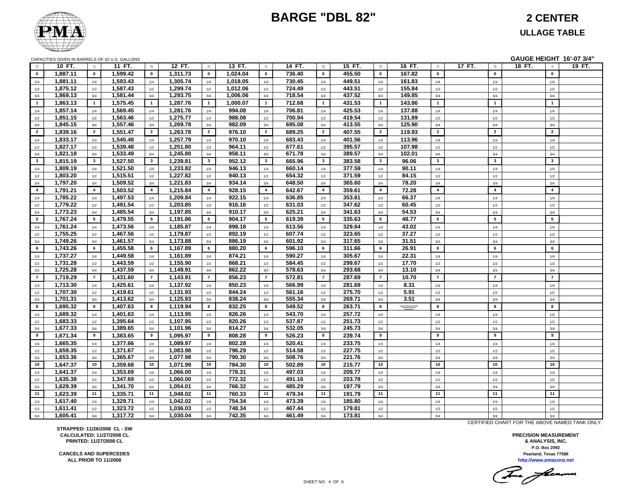

#### **ULLAGE TABLE**

|                |          |                         | CAPACITIES GIVEN IN BARRELS OF 42 U.S. GALLONS |                |          |                |          |                 |        |                 |        |                 |          |                 |        |                 | GAUGE HEIGHT 16'-07 3/4" |        |
|----------------|----------|-------------------------|------------------------------------------------|----------------|----------|----------------|----------|-----------------|--------|-----------------|--------|-----------------|----------|-----------------|--------|-----------------|--------------------------|--------|
| <b>IN</b>      | 10 FT.   | $\mathbb{N}$            | 11 FT.                                         | $\mathsf{IN}$  | 12 FT.   | IN             | 13 FT.   | $\mathbb N$     | 14 FT. | $\mathsf{IN}$   | 15 FT. | IN              | 16 FT.   | IN              | 17 FT. | $\mathbb N$     | 18 FT.<br>$\mathbb N$    | 19 FT. |
| $\mathbf{0}$   | 1,887.11 | $\mathbf{0}$            | 1,599.42                                       | $\mathbf{0}$   | 1,311.73 | $\mathbf 0$    | 1,024.04 | $\mathbf 0$     | 736.40 | $\mathbf 0$     | 455.50 | $\mathbf{0}$    | 167.82   | $\mathbf 0$     |        | $\mathbf 0$     | $\mathbf{0}$             |        |
| 1/4            | 1,881.11 | 1/4                     | 1,593.43                                       | 1/4            | 1,305.74 | 1/4            | 1,018.05 | 1/4             | 730.45 | 1/4             | 449.51 | 1/4             | 161.83   | 1/4             |        | 1/4             | 1/4                      |        |
| 1/2            | 1,875.12 | 1/2                     | 1,587.43                                       | 1/2            | 1,299.74 | 1/2            | 1,012.06 | 1/2             | 724.49 | 1/2             | 443.51 | 1/2             | 155.84   | 1/2             |        | $1/2\,$         | 1/2                      |        |
| 3/4            | 1,869.13 | 3/4                     | 1,581.44                                       | 3/4            | 1,293.75 | 3/4            | 1,006.06 | 3/4             | 718.54 | 3/4             | 437.52 | 3/4             | 149.85   | 3/4             |        | 3/4             | 3/4                      |        |
| $\overline{1}$ | 1,863.13 | $\mathbf{1}$            | 1,575.45                                       | $\overline{1}$ | 1,287.76 | $\mathbf{1}$   | 1,000.07 | $\mathbf{1}$    | 712.68 | $\mathbf{1}$    | 431.53 | $\overline{1}$  | 143.86   | $\overline{1}$  |        | $\overline{1}$  | $\mathbf{1}$             |        |
| 1/4            | 1,857.14 | 1/4                     | 1,569.45                                       | 1/4            | 1,281.76 | 1/4            | 994.08   | 1/4             | 706.81 | 1/4             | 425.53 | 1/4             | 137.88   | 1/4             |        | 1/4             | 1/4                      |        |
| 1/2            | 1,851.15 | 1/2                     | 1,563.46                                       | 1/2            | 1,275.77 | 1/2            | 988.08   | 1/2             | 700.94 | 1/2             | 419.54 | 1/2             | 131.89   | 1/2             |        | 1/2             | 1/2                      |        |
| 3/4            | 1,845.15 | 3/4                     | 1,557.46                                       | 3/4            | 1,269.78 | 3/4            | 982.09   | 3/4             | 695.08 | 3/4             | 413.55 | 3/4             | 125.90   | 3/4             |        | 3/4             | 3/4                      |        |
| $\overline{2}$ | 1,839.16 | $\overline{2}$          | 1,551.47                                       | $\overline{2}$ | 1,263.78 | $\overline{2}$ | 976.10   | $\overline{2}$  | 689.25 | $\overline{2}$  | 407.55 | $\overline{2}$  | 119.93   | $\overline{2}$  |        | $\overline{2}$  | $\overline{2}$           |        |
| 1/4            | 1,833.17 | 1/4                     | 1,545.48                                       | 1/4            | 1,257.79 | 1/4            | 970.10   | 1/4             | 683.43 | 1/4             | 401.56 | 1/4             | 113.96   | 1/4             |        | 1/4             | 1/4                      |        |
| 1/2            | 1,827.17 | 1/2                     | 1,539.48                                       | 1/2            | 1,251.80 | 1/2            | 964.11   | 1/2             | 677.61 | 1/2             | 395.57 | 1/2             | 107.98   | 1/2             |        | 1/2             | 1/2                      |        |
| 3/4            | 1,821.18 | 3/4                     | 1,533.49                                       | 3/4            | 1,245.80 | 3/4            | 958.11   | 3/4             | 671.78 | 3/4             | 389.57 | 3/4             | 102.01   | 3/4             |        | 3/4             | 3/4                      |        |
| $\mathbf{3}$   | 1.815.19 | $\overline{\mathbf{3}}$ | 1,527.50                                       | $\mathbf{3}$   | 1.239.81 | $\mathbf{3}$   | 952.12   | $\mathbf{3}$    | 665.96 | $\mathbf{3}$    | 383.58 | $\mathbf{3}$    | 96.06    | $\mathbf{3}$    |        | $\mathbf{3}$    | $\mathbf{3}$             |        |
| 1/4            | 1,809.19 | 1/4                     | 1,521.50                                       | 1/4            | 1,233.82 | 1/4            | 946.13   | 1/4             | 660.14 | 1/4             | 377.59 | 1/4             | 90.11    | 1/4             |        | 1/4             | 1/4                      |        |
| 1/2            | 1,803.20 | 1/2                     | 1,515.51                                       | 1/2            | 1,227.82 | 1/2            | 940.13   | 1/2             | 654.32 | 1/2             | 371.59 | 1/2             | 84.15    | 1/2             |        | 1/2             | 1/2                      |        |
| 3/4            | 1,797.20 | 3/4                     | 1,509.52                                       | 3/4            | 1,221.83 | 3/4            | 934.14   | 3/4             | 648.50 | 3/4             | 365.60 | 3/4             | 78.20    | 3/4             |        | 3/4             | 3/4                      |        |
| $\overline{4}$ | 1,791.21 | $\overline{4}$          | 1,503.52                                       | $\overline{4}$ | 1,215.84 | $\overline{4}$ | 928.15   | $\overline{4}$  | 642.67 | $\overline{4}$  | 359.61 | $\overline{4}$  | 72.28    | $\overline{4}$  |        | $\overline{4}$  | $\overline{4}$           |        |
| 1/4            | 1,785.22 | 1/4                     | 1,497.53                                       | 1/4            | 1,209.84 | 1/4            | 922.15   | 1/4             | 636.85 | 1/4             | 353.61 | 1/4             | 66.37    | 1/4             |        | 1/4             | 1/4                      |        |
| 1/2            | 1,779.22 | 1/2                     | 1,491.54                                       | 1/2            | 1,203.85 | 1/2            | 916.16   | 1/2             | 631.03 | 1/2             | 347.62 | 1/2             | 60.45    | 1/2             |        | 1/2             | 1/2                      |        |
| 3/4            | 1,773.23 | 3/4                     | 1,485.54                                       | 3/4            | 1,197.85 | 3/4            | 910.17   | 3/4             | 625.21 | 3/4             | 341.63 | 3/4             | 54.53    | 3/4             |        | 3/4             | 3/4                      |        |
| $5^{\circ}$    | 1,767.24 | $5\overline{5}$         | 1,479.55                                       | 5              | 1,191.86 | 5              | 904.17   | $5\overline{5}$ | 619.39 | $5\overline{5}$ | 335.63 | $5\overline{5}$ | 48.77    | $5\overline{5}$ |        | $5\phantom{.0}$ | 5                        |        |
| 1/4            | 1,761.24 | 1/4                     | 1,473.56                                       | 1/4            | 1,185.87 | 1/4            | 898.18   | 1/4             | 613.56 | 1/4             | 329.64 | 1/4             | 43.02    | 1/4             |        | 1/4             | 1/4                      |        |
| 1/2            | 1,755.25 | 1/2                     | 1,467.56                                       | 1/2            | 1,179.87 | 1/2            | 892.19   | 1/2             | 607.74 | 1/2             | 323.65 | 1/2             | 37.27    | 1/2             |        | 1/2             | 1/2                      |        |
| 3/4            | 1,749.26 | 3/4                     | 1,461.57                                       | 3/4            | 1,173.88 | 3/4            | 886.19   | 3/4             | 601.92 | 3/4             | 317.65 | 3/4             | 31.51    | 3/4             |        | 3/4             | 3/4                      |        |
| 6              | 1,743.26 | 6                       | 1,455.58                                       | 6              | 1,167.89 | 6              | 880.20   | 6               | 596.10 | 6               | 311.66 | 6               | 26.91    | 6               |        | 6               | 6                        |        |
| 1/4            | 1,737.27 | 1/4                     | 1,449.58                                       | 1/4            | 1,161.89 | 1/4            | 874.21   | 1/4             | 590.27 | 1/4             | 305.67 | 1/4             | 22.31    | 1/4             |        | 1/4             | 1/4                      |        |
| 1/2            | 1,731.28 | 1/2                     | 1,443.59                                       | 1/2            | 1,155.90 | 1/2            | 868.21   | 1/2             | 584.45 | 1/2             | 299.67 | 1/2             | 17.70    | 1/2             |        | 1/2             | 1/2                      |        |
| 3/4            | 1,725.28 | 3/4                     | 1,437.59                                       | 3/4            | 1,149.91 | 3/4            | 862.22   | 3/4             | 578.63 | 3/4             | 293.68 | 3/4             | 13.10    | 3/4             |        | 3/4             | 3/4                      |        |
| $\overline{7}$ | 1,719.29 | $\overline{7}$          | 1,431.60                                       | $\overline{7}$ | 1,143.91 | $\overline{7}$ | 856.23   | $\overline{7}$  | 572.81 | $\overline{7}$  | 287.69 | $\overline{7}$  | 10.70    | $\overline{7}$  |        | $\overline{7}$  | $\overline{7}$           |        |
| 1/4            | 1,713.30 | 1/4                     | 1,425.61                                       | 1/4            | 1,137.92 | 1/4            | 850.23   | 1/4             | 566.99 | 1/4             | 281.69 | 1/4             | 8.31     | 1/4             |        | 1/4             | 1/4                      |        |
| 1/2            | 1,707.30 | 1/2                     | 1,419.61                                       | 1/2            | 1,131.93 | $1/2$          | 844.24   | 1/2             | 561.16 | 1/2             | 275.70 | $1/2$           | 5.91     | 1/2             |        | 1/2             | 1/2                      |        |
| 3/4            | 1,701.31 | 3/4                     | 1,413.62                                       | 3/4            | 1,125.93 | 3/4            | 838.24   | 3/4             | 555.34 | 3/4             | 269.71 | 3/4             | 3.51     | 3/4             |        | 3/4             | 3/4                      |        |
| 8              | 1,695.32 | 8                       | 1,407.63                                       | 8              | 1,119.94 | 8              | 832.25   | 8               | 549.52 | 8               | 263.71 | 8               | $\equiv$ | 8               |        | 8               | 8                        |        |
| 1/4            | 1,689.32 | 1/4                     | 1,401.63                                       | 1/4            | 1,113.95 | 1/4            | 826.26   | 1/4             | 543.70 | 1/4             | 257.72 | 1/4             |          | 1/4             |        | 1/4             | 1/4                      |        |
| 1/2            | 1,683.33 | 1/2                     | 1,395.64                                       | 1/2            | 1,107.95 | 1/2            | 820.26   | 1/2             | 537.87 | 1/2             | 251.73 | 1/2             |          | 1/2             |        | 1/2             | 1/2                      |        |
| 3/4            | 1,677.33 | 3/4                     | 1,389.65                                       | $3/4\,$        | 1,101.96 | $3/4$          | 814.27   | $3/4$           | 532.05 | $3/4$           | 245.73 | $3/4$           |          | 3/4             |        | 3/4             | 3/4                      |        |
| 9              | 1,671.34 | 9                       | 1,383.65                                       | 9              | 1,095.97 | 9              | 808.28   | 9               | 526.23 | 9               | 239.74 | 9               |          | 9               |        | 9               | 9                        |        |
| 1/4            | 1,665.35 | 1/4                     | 1,377.66                                       | 1/4            | 1,089.97 | 1/4            | 802.28   | 1/4             | 520.41 | 1/4             | 233.75 | $1/4$           |          | 1/4             |        | 1/4             | 1/4                      |        |
| 1/2            | 1,659.35 | 1/2                     | 1,371.67                                       | 1/2            | 1,083.98 | 1/2            | 796.29   | 1/2             | 514.58 | 1/2             | 227.75 | 1/2             |          | 1/2             |        | 1/2             | 1/2                      |        |
| 3/4            | 1,653.36 | 3/4                     | 1,365.67                                       | 3/4            | 1,077.98 | 3/4            | 790.30   | 3/4             | 508.76 | 3/4             | 221.76 | 3/4             |          | 3/4             |        | 3/4             | 3/4                      |        |
| 10             | 1,647.37 | 10                      | 1,359.68                                       | 10             | 1,071.99 | 10             | 784.30   | 10              | 502.89 | 10              | 215.77 | 10              |          | 10              |        | 10              | 10                       |        |
| 1/4            | 1,641.37 | 1/4                     | 1,353.69                                       | 1/4            | 1,066.00 | 1/4            | 778.31   | 1/4             | 497.03 | 1/4             | 209.77 | $1/4$           |          | 1/4             |        | $1/4$           | 1/4                      |        |
| 1/2            | 1,635.38 | 1/2                     | 1,347.69                                       | 1/2            | 1,060.00 | 1/2            | 772.32   | 1/2             | 491.16 | 1/2             | 203.78 | 1/2             |          | 1/2             |        | 1/2             | 1/2                      |        |
| 3/4            | 1,629.39 | 3/4                     | 1,341.70                                       | 3/4            | 1,054.01 | 3/4            | 766.32   | 3/4             | 485.29 | 3/4             | 197.79 | 3/4             |          | 3/4             |        | 3/4             | 3/4                      |        |
| 11             | 1,623.39 | 11                      | 1,335.71                                       | 11             | 1,048.02 | 11             | 760.33   | 11              | 479.34 | 11              | 191.79 | 11              |          | 11              |        | 11              | 11                       |        |
| 1/4            | 1,617.40 | 1/4                     | 1,329.71                                       | 1/4            | 1,042.02 | 1/4            | 754.34   | 1/4             | 473.39 | 1/4             | 185.80 | 1/4             |          | 1/4             |        | 1/4             | 1/4                      |        |
| 1/2            | 1,611.41 | 1/2                     | 1,323.72                                       | 1/2            | 1,036.03 | 1/2            | 748.34   | 1/2             | 467.44 | 1/2             | 179.81 | $1/2$           |          | 1/2             |        | 1/2             | 1/2                      |        |
| 3/4            | 1,605.41 | 3/4                     | 1,317.72                                       | 3/4            | 1,030.04 | 3/4            | 742.35   | 3/4             | 461.49 | 3/4             | 173.81 | 3/4             |          | 3/4             |        | 3/4             | 3/4                      |        |

**STRAPPED: 11/26/2008 CL - SW CALCULATED: 11/27/2008 CL PRINTED: 11/27/2008 CL**

**CANCELS AND SUPERCEDESALL PRIOR TO 11/2008**

CERTIFIED CHART FOR THE ABOVE NAMED TANK ONLY.

**P.O. Box 2092 PRECISION MEASUREMENT & ANALYSIS, INC. http://www.pmacorp.net Pearland, Texas 77588**

(For frame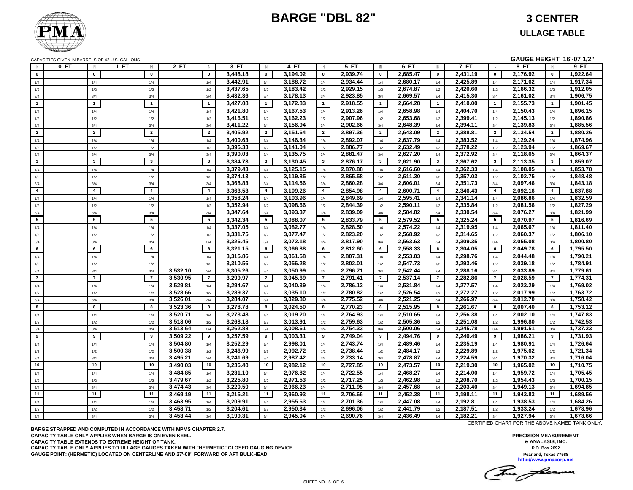

**GAUGE HEIGHT 16'-07 1/2"**

CAPACITIES GIVEN IN BARRELS OF 42 U.S. GALLONS

| $\mathsf{N}$   | $0$ FT.<br>$\mathbb{N}$ | 1 FT.<br>$\mathbb N$    | 2 FT.    | $\mathbb{N}$    | $3$ FT.  | $\mathbb{N}$    | 4 FT.    | $\mathbb N$             | $5$ FT.  | IN             | 6 FT.    | $\mathbb{N}$    | 7 FT.    | IN                      | 8 FT.    | $\mathbb{N}$    | 9 FT.    |
|----------------|-------------------------|-------------------------|----------|-----------------|----------|-----------------|----------|-------------------------|----------|----------------|----------|-----------------|----------|-------------------------|----------|-----------------|----------|
| $\mathbf 0$    | $\mathbf 0$             | $\mathbf{0}$            |          | $\mathbf 0$     | 3,448.18 | $\mathbf 0$     | 3,194.02 | $\mathbf{0}$            | 2,939.74 | $\mathbf 0$    | 2,685.47 | $\mathbf{0}$    | 2,431.19 | $\mathbf{0}$            | 2,176.92 | $\mathbf{0}$    | 1,922.64 |
| 1/4            | 1/4                     | 1/4                     |          | 1/4             | 3,442.91 | 1/4             | 3,188.72 | 1/4                     | 2,934.44 | 1/4            | 2,680.17 | 1/4             | 2,425.89 | 1/4                     | 2,171.62 | 1/4             | 1,917.34 |
| 1/2            | 1/2                     | 1/2                     |          | 1/2             | 3,437.65 | 1/2             | 3,183.42 | 1/2                     | 2,929.15 | 1/2            | 2,674.87 | 1/2             | 2,420.60 | 1/2                     | 2,166.32 | 1/2             | 1,912.05 |
| 3/4            | 3/4                     | 3/4                     |          | 3/4             | 3,432.36 | 3/4             | 3,178.13 | 3/4                     | 2,923.85 | 3/4            | 2,669.57 | 3/4             | 2,415.30 | 3/4                     | 2,161.02 | 3/4             | 1,906.75 |
| $\overline{1}$ | $\mathbf{1}$            | $\overline{1}$          |          | $\mathbf{1}$    | 3,427.08 | $\overline{1}$  | 3,172.83 | $\mathbf{1}$            | 2,918.55 | $\overline{1}$ | 2,664.28 | $\mathbf 1$     | 2,410.00 | $\mathbf{1}$            | 2,155.73 | $\mathbf{1}$    | 1,901.45 |
| 1/4            | 1/4                     | 1/4                     |          | 1/4             | 3,421.80 | 1/4             | 3,167.53 | 1/4                     | 2,913.26 | 1/4            | 2,658.98 | 1/4             | 2,404.70 | 1/4                     | 2,150.43 | 1/4             | 1,896.15 |
| 1/2            | 1/2                     | 1/2                     |          | 1/2             | 3,416.51 | 1/2             | 3,162.23 | 1/2                     | 2,907.96 | 1/2            | 2,653.68 | 1/2             | 2,399.41 | 1/2                     | 2,145.13 | 1/2             | 1,890.86 |
| 3/4            | 3/4                     | 3/4                     |          | 3/4             | 3,411.22 | 3/4             | 3,156.94 | 3/4                     | 2,902.66 | 3/4            | 2,648.39 | 3/4             | 2,394.11 | 3/4                     | 2,139.83 | 3/4             | 1,885.56 |
| $\overline{2}$ | $\overline{2}$          | $\overline{\mathbf{2}}$ |          | $\overline{2}$  | 3,405.92 | $\overline{2}$  | 3,151.64 | $\overline{2}$          | 2,897.36 | $\overline{2}$ | 2,643.09 | $\overline{2}$  | 2,388.81 | $\overline{\mathbf{2}}$ | 2,134.54 | $\overline{2}$  | 1,880.26 |
| 1/4            | 1/4                     | 1/4                     |          | 1/4             | 3,400.63 | 1/4             | 3,146.34 | 1/4                     | 2,892.07 | 1/4            | 2,637.79 | 1/4             | 2,383.52 | 1/4                     | 2,129.24 | 1/4             | 1,874.96 |
| 1/2            | 1/2                     | 1/2                     |          | 1/2             | 3,395.33 | 1/2             | 3,141.04 | 1/2                     | 2,886.77 | $1/2$          | 2,632.49 | 1/2             | 2,378.22 | $1/2$                   | 2,123.94 | 1/2             | 1,869.67 |
| 3/4            | 3/4                     | 3/4                     |          | 3/4             | 3,390.03 | 3/4             | 3,135.75 | 3/4                     | 2,881.47 | 3/4            | 2,627.20 | 3/4             | 2,372.92 | 3/4                     | 2,118.65 | 3/4             | 1,864.37 |
| $\mathbf{3}$   | $\mathbf{3}$            | $\overline{\mathbf{3}}$ |          | $\mathbf{3}$    | 3,384.73 | $\mathbf{3}$    | 3,130.45 | $\mathbf{3}$            | 2,876.17 | $\mathbf{3}$   | 2,621.90 | $\mathbf{3}$    | 2,367.62 | $\mathbf{3}$            | 2,113.35 | $\mathbf{3}$    | 1,859.07 |
| 1/4            | 1/4                     | $1/4$                   |          | $1/4$           | 3,379.43 | 1/4             | 3,125.15 | 1/4                     | 2,870.88 | $1/4$          | 2,616.60 | 1/4             | 2,362.33 | 1/4                     | 2,108.05 | 1/4             | 1,853.78 |
| 1/2            | 1/2                     | $1/2$                   |          | 1/2             | 3,374.13 | $1/2$           | 3,119.85 | $1/2$                   | 2,865.58 | $1/2$          | 2,611.30 | $1/2$           | 2,357.03 | 1/2                     | 2,102.75 | 1/2             | 1,848.48 |
| 3/4            | 3/4                     | 3/4                     |          | 3/4             | 3,368.83 | 3/4             | 3,114.56 | 3/4                     | 2,860.28 | 3/4            | 2,606.01 | 3/4             | 2,351.73 | 3/4                     | 2,097.46 | 3/4             | 1,843.18 |
| $\overline{4}$ | $\overline{4}$          | $\overline{\mathbf{4}}$ |          | $\overline{4}$  | 3,363.53 | $\overline{a}$  | 3,109.26 | $\overline{\mathbf{4}}$ | 2,854.98 | $\overline{4}$ | 2,600.71 | $\overline{4}$  | 2,346.43 | $\overline{\mathbf{4}}$ | 2,092.16 | $\overline{4}$  | 1,837.88 |
| 1/4            | 1/4                     | 1/4                     |          | 1/4             | 3,358.24 | 1/4             | 3,103.96 | 1/4                     | 2,849.69 | 1/4            | 2,595.41 | 1/4             | 2,341.14 | 1/4                     | 2,086.86 | 1/4             | 1,832.59 |
| 1/2            | 1/2                     | 1/2                     |          | 1/2             | 3,352.94 | 1/2             | 3,098.66 | 1/2                     | 2,844.39 | 1/2            | 2,590.11 | 1/2             | 2,335.84 | 1/2                     | 2,081.56 | 1/2             | 1,827.29 |
| 3/4            | 3/4                     | 3/4                     |          | 3/4             | 3,347.64 | 3/4             | 3,093.37 | 3/4                     | 2,839.09 | 3/4            | 2,584.82 | 3/4             | 2,330.54 | 3/4                     | 2,076.27 | 3/4             | 1,821.99 |
| 5              | $5\overline{5}$         | 5                       |          | $5\phantom{.0}$ | 3,342.34 | $5\phantom{.0}$ | 3,088.07 | $5\overline{5}$         | 2,833.79 | 5              | 2,579.52 | $5\phantom{.0}$ | 2,325.24 | $5\overline{5}$         | 2,070.97 | $5\phantom{.0}$ | 1,816.69 |
| 1/4            | 1/4                     | 1/4                     |          | 1/4             | 3,337.05 | 1/4             | 3,082.77 | 1/4                     | 2,828.50 | 1/4            | 2,574.22 | 1/4             | 2,319.95 | 1/4                     | 2,065.67 | 1/4             | 1,811.40 |
| 1/2            | 1/2                     | $1/2$                   |          | 1/2             | 3,331.75 | $1/2$           | 3,077.47 | 1/2                     | 2,823.20 | $1/2$          | 2,568.92 | $1/2$           | 2,314.65 | $1/2$                   | 2,060.37 | 1/2             | 1,806.10 |
| 3/4            | 3/4                     | 3/4                     |          | 3/4             | 3,326.45 | 3/4             | 3,072.18 | 3/4                     | 2,817.90 | 3/4            | 2,563.63 | 3/4             | 2,309.35 | 3/4                     | 2,055.08 | 3/4             | 1,800.80 |
| 6              | 6                       | 6                       |          | 6               | 3,321.15 | 6               | 3,066.88 | 6                       | 2,812.60 | 6              | 2,558.33 | 6               | 2,304.05 | 6                       | 2,049.78 | 6               | 1,795.50 |
| 1/4            | 1/4                     | 1/4                     |          | 1/4             | 3,315.86 | 1/4             | 3,061.58 | 1/4                     | 2,807.31 | 1/4            | 2,553.03 | 1/4             | 2,298.76 | 1/4                     | 2,044.48 | 1/4             | 1,790.21 |
| 1/2            | 1/2                     | 1/2                     |          | 1/2             | 3,310.56 | $1/2$           | 3,056.28 | 1/2                     | 2,802.01 | $1/2$          | 2,547.73 | 1/2             | 2,293.46 | $1/2$                   | 2,039.18 | 1/2             | 1,784.91 |
| 3/4            | 3/4                     | 3/4                     | 3,532.10 | 3/4             | 3,305.26 | 3/4             | 3,050.99 | 3/4                     | 2,796.71 | 3/4            | 2,542.44 | 3/4             | 2,288.16 | 3/4                     | 2,033.89 | 3/4             | 1,779.61 |
| $\overline{7}$ | $\overline{7}$          | $\overline{7}$          | 3,530.95 | $\overline{7}$  | 3,299.97 | $\overline{7}$  | 3,045.69 | $\overline{7}$          | 2,791.41 | $\overline{7}$ | 2,537.14 | $\overline{7}$  | 2,282.86 | $\overline{7}$          | 2,028.59 | $\overline{7}$  | 1,774.31 |
| 1/4            | 1/4                     | 1/4                     | 3,529.81 | 1/4             | 3,294.67 | 1/4             | 3,040.39 | 1/4                     | 2,786.12 | 1/4            | 2,531.84 | 1/4             | 2,277.57 | 1/4                     | 2,023.29 | 1/4             | 1,769.02 |
| $1/2$          | 1/2                     | 1/2                     | 3,528.66 | 1/2             | 3,289.37 | $1/2$           | 3,035.10 | 1/2                     | 2,780.82 | 1/2            | 2,526.54 | 1/2             | 2,272.27 | 1/2                     | 2,017.99 | 1/2             | 1,763.72 |
| 3/4            | 3/4                     | 3/4                     | 3,526.01 | 3/4             | 3,284.07 | 3/4             | 3,029.80 | 3/4                     | 2,775.52 | 3/4            | 2,521.25 | 3/4             | 2,266.97 | 3/4                     | 2,012.70 | 3/4             | 1,758.42 |
| 8              | 8                       | 8                       | 3,523.36 | 8               | 3,278.78 | 8               | 3,024.50 | 8                       | 2,770.23 | 8              | 2,515.95 | 8               | 2,261.67 | 8                       | 2,007.40 | 8               | 1,753.12 |
| 1/4            | 1/4                     | 1/4                     | 3,520.71 | 1/4             | 3,273.48 | 1/4             | 3,019.20 | 1/4                     | 2,764.93 | 1/4            | 2,510.65 | 1/4             | 2,256.38 | 1/4                     | 2,002.10 | 1/4             | 1,747.83 |
| 1/2            | 1/2                     | 1/2                     | 3,518.06 | 1/2             | 3,268.18 | 1/2             | 3,013.91 | 1/2                     | 2,759.63 | 1/2            | 2,505.36 | 1/2             | 2,251.08 | 1/2                     | 1,996.80 | 1/2             | 1,742.53 |
| 3/4            | 3/4                     | 3/4                     | 3,513.64 | 3/4             | 3,262.88 | 3/4             | 3,008.61 | 3/4                     | 2,754.33 | 3/4            | 2,500.06 | 3/4             | 2,245.78 | 3/4                     | 1,991.51 | 3/4             | 1,737.23 |
| 9              | 9                       | 9                       | 3,509.22 | 9               | 3,257.59 | 9               | 3,003.31 | 9                       | 2,749.04 | 9              | 2,494.76 | 9               | 2,240.49 | 9                       | 1,986.21 | 9               | 1,731.93 |
| 1/4            | 1/4                     | 1/4                     | 3,504.80 | 1/4             | 3,252.29 | 1/4             | 2,998.01 | 1/4                     | 2,743.74 | 1/4            | 2,489.46 | 1/4             | 2,235.19 | 1/4                     | 1,980.91 | 1/4             | 1,726.64 |
| 1/2            | 1/2                     | 1/2                     | 3,500.38 | 1/2             | 3,246.99 | 1/2             | 2,992.72 | 1/2                     | 2,738.44 | 1/2            | 2,484.17 | 1/2             | 2,229.89 | 1/2                     | 1,975.62 | 1/2             | 1,721.34 |
| 3/4            | 3/4                     | 3/4                     | 3,495.21 | 3/4             | 3,241.69 | 3/4             | 2,987.42 | 3/4                     | 2,733.14 | 3/4            | 2,478.87 | 3/4             | 2,224.59 | 3/4                     | 1,970.32 | 3/4             | 1,716.04 |
| 10             | 10                      | 10                      | 3,490.03 | 10              | 3,236.40 | 10              | 2,982.12 | 10                      | 2,727.85 | 10             | 2,473.57 | 10              | 2,219.30 | 10                      | 1,965.02 | 10              | 1,710.75 |
| 1/4            | 1/4                     | 1/4                     | 3,484.85 | 1/4             | 3,231.10 | 1/4             | 2,976.82 | 1/4                     | 2,722.55 | 1/4            | 2,468.27 | 1/4             | 2,214.00 | 1/4                     | 1,959.72 | 1/4             | 1,705.45 |
| 1/2            | 1/2                     | 1/2                     | 3,479.67 | 1/2             | 3,225.80 | 1/2             | 2,971.53 | 1/2                     | 2,717.25 | 1/2            | 2,462.98 | 1/2             | 2,208.70 | 1/2                     | 1,954.43 | 1/2             | 1,700.15 |
| 3/4            | 3/4                     | 3/4                     | 3,474.43 | 3/4             | 3,220.50 | 3/4             | 2,966.23 | 3/4                     | 2,711.95 | 3/4            | 2,457.68 | 3/4             | 2,203.40 | 3/4                     | 1,949.13 | 3/4             | 1,694.85 |
| 11             | 11                      | 11                      | 3,469.19 | 11              | 3,215.21 | 11              | 2,960.93 | 11                      | 2,706.66 | 11             | 2,452.38 | 11              | 2,198.11 | 11                      | 1,943.83 | 11              | 1,689.56 |
| 1/4            | 1/4                     | 1/4                     | 3,463.95 | 1/4             | 3,209.91 | 1/4             | 2,955.63 | 1/4                     | 2,701.36 | 1/4            | 2,447.08 | 1/4             | 2,192.81 | 1/4                     | 1,938.53 | 1/4             | 1,684.26 |
| 1/2            | 1/2                     | 1/2                     | 3,458.71 | 1/2             | 3,204.61 | 1/2             | 2,950.34 | 1/2                     | 2,696.06 | 1/2            | 2,441.79 | 1/2             | 2,187.51 | 1/2                     | 1,933.24 | 1/2             | 1,678.96 |
| 3/4            | $3/4$                   | 3/4                     | 3,453.44 | 3/4             | 3,199.31 | 3/4             | 2,945.04 | 3/4                     | 2,690.76 | 3/4            | 2,436.49 | 3/4             | 2,182.21 | 3/4                     | 1,927.94 | 3/4             | 1,673.66 |

**BARGE STRAPPED AND COMPUTED IN ACCORDANCE WITH MPMS CHAPTER 2.7. CAPACITY TABLE ONLY APPLIES WHEN BARGE IS ON EVEN KEEL. CAPACITY TABLE EXTENDS TO EXTREME HEIGHT OF TANK. CAPACITY TABLE ONLY APPLIES TO ULLAGE GAUGES TAKEN WITH "HERMETIC" CLOSED GAUGING DEVICE.**

**GAUGE POINT: (HERMETIC) LOCATED ON CENTERLINE AND 27'-08" FORWARD OF AFT BULKHEAD.**

CERTIFIED CHART FOR THE ABOVE NAMED TANK ONLY.

**PRECISION MEASUREMENT & ANALYSIS, INC. P.O. Box 2092 Pearland, Texas 77588 http://www.pmacorp.net**

The freeman